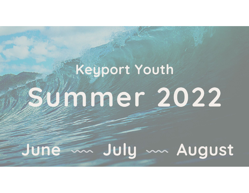# Keyport Youth **Stimmer 2022**

## June m July m August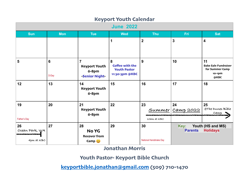| $\cdots$<br><b>TANSIL ARTESTANI</b><br><b>June 2022</b> |                          |                                                                   |                                                                      |                              |                        |                                                                        |  |
|---------------------------------------------------------|--------------------------|-------------------------------------------------------------------|----------------------------------------------------------------------|------------------------------|------------------------|------------------------------------------------------------------------|--|
| <b>Sun</b>                                              | <b>Mon</b>               | <b>Tue</b>                                                        | <b>Wed</b>                                                           | <b>Thu</b>                   | Fri                    | <b>Sat</b>                                                             |  |
|                                                         |                          |                                                                   | 1                                                                    | $\overline{2}$               | 3                      | 4                                                                      |  |
| 5                                                       | $6\phantom{1}6$<br>D-Day | $\overline{7}$<br><b>Keyport Youth</b><br>6-8pm<br>-Senior Night- | 8<br><b>Coffee with the</b><br><b>Youth Pastor</b><br>11:30-3pm @KBC | 9                            | 10                     | 11<br><b>Bake Sale Fundraiser</b><br>for Summer Camp<br>10-1pm<br>@KBC |  |
| 12                                                      | 13                       | 14<br><b>Keyport Youth</b><br>6-8pm                               | 15                                                                   | 16                           | 17                     | 18                                                                     |  |
| 19<br>Father's Day                                      | 20                       | 21<br><b>Keyport Youth</b><br>6-8pm                               | 22                                                                   | 23<br>10am at KBC            | 24<br>Summer Camp 2022 | 25<br>@The Dunes Bible<br>camp                                         |  |
| 26<br>Ocean Park, WA<br><b></b><br>4pm at KBC           | 27                       | 28<br>No YG<br><b>Recover from</b><br>Camp $\bigcup$              | 29                                                                   | 30<br>National Handshake Day | Key:<br><b>Parents</b> | Youth (HS and MS)<br><b>Holidays</b>                                   |  |

#### **Keyport Youth Calendar**

**Jonathan Morris**

#### **Youth Pastor- Keyport Bible Church**

**keyportbible.[jonathan@gmail](mailto:keyportbible.jonathan@gmail.com).com (509) 710-1470**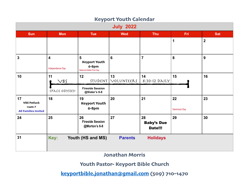| <b>IVEY POLE TOWELL SOICHING!</b><br><b>July 2022</b>               |                                             |                                                                |                  |                                           |                   |                  |  |  |
|---------------------------------------------------------------------|---------------------------------------------|----------------------------------------------------------------|------------------|-------------------------------------------|-------------------|------------------|--|--|
| <b>Sun</b>                                                          | <b>Mon</b>                                  | <b>Tue</b>                                                     | <b>Wed</b>       | <b>Thu</b>                                | Fri               | <b>Sat</b>       |  |  |
|                                                                     |                                             |                                                                |                  |                                           | 1                 | $\overline{2}$   |  |  |
| $\overline{\mathbf{3}}$                                             | $\overline{\mathbf{4}}$<br>Independence Day | 5<br><b>Keyport Youth</b><br>6-8pm<br>National Kiddie Pool Day | $6\phantom{1}6$  | $\overline{7}$                            | 8                 | $\boldsymbol{9}$ |  |  |
| 10                                                                  | 11<br>$\vee$ BS<br>-SPACE ODYSSEY-          | 12<br>STUDENT<br><b>Fireside Session</b><br>@Slater's 6-8      | 13<br>VOLUNTEERS | 14<br>8:30-12 DAILY                       | 15                | 16               |  |  |
| 17<br><b>VBS Potluck</b><br>$11am-?$<br><b>All Families Invited</b> | 18                                          | 19<br><b>Keyport Youth</b><br>$6 - 8$ pm                       | 20               | 21                                        | 22<br>Hammock Day | 23               |  |  |
| 24                                                                  | 25                                          | 26<br><b>Fireside Session</b><br>@Morton's 6-8                 | 27               | 28<br><b>Baby's Due</b><br><b>Date!!!</b> | 29                | 30               |  |  |
| 31                                                                  | Key:                                        | Youth (HS and MS)                                              | <b>Parents</b>   | <b>Holidays</b>                           |                   |                  |  |  |

#### **Keyport Youth Calendar**

**Jonathan Morris**

**Youth Pastor- Keyport Bible Church**

**keyportbible.[jonathan@gmail](mailto:keyportbible.jonathan@gmail.com).com (509) 710-1470**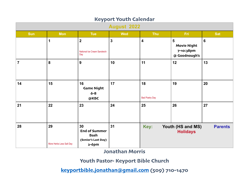| ivel Lord Towell adjained.<br><b>August 2022</b> |                                |                                                                           |              |                             |                                                                    |                 |  |
|--------------------------------------------------|--------------------------------|---------------------------------------------------------------------------|--------------|-----------------------------|--------------------------------------------------------------------|-----------------|--|
| <b>Sun</b>                                       | <b>Mon</b>                     | <b>Tue</b>                                                                | <b>Wed</b>   | <b>Thu</b>                  | <b>Fri</b>                                                         | <b>Sat</b>      |  |
|                                                  | 1                              | $\overline{2}$<br>National Ice Cream Sandwich<br>Day                      | $\mathbf{3}$ | $\overline{\mathbf{4}}$     | $5\phantom{1}$<br><b>Movie Night</b><br>7-10:38pm<br>@ Goodnough's | $6\phantom{1}6$ |  |
| $\overline{7}$                                   | $\boldsymbol{8}$               | $\boldsymbol{9}$                                                          | 10           | 11                          | 12                                                                 | 13              |  |
| 14                                               | 15                             | 16<br><b>Game Night</b><br>$6 - 8$<br>@KBC                                | 17           | 18<br><b>Bad Poetry Day</b> | 19                                                                 | 20              |  |
| 21                                               | 22                             | 23                                                                        | 24           | 25                          | 26                                                                 | 27              |  |
| 28                                               | 29<br>More Herbs Less Salt Day | 30<br><b>End of Summer</b><br><b>Bash</b><br>(Senior's Last Day)<br>2-6pm | 31           | Key:                        | Youth (HS and MS)<br><b>Holidays</b>                               | <b>Parents</b>  |  |

**Keyport Youth Calendar**

**Jonathan Morris**

#### **Youth Pastor- Keyport Bible Church**

**keyportbible.[jonathan@gmail](mailto:keyportbible.jonathan@gmail.com).com (509) 710-1470**